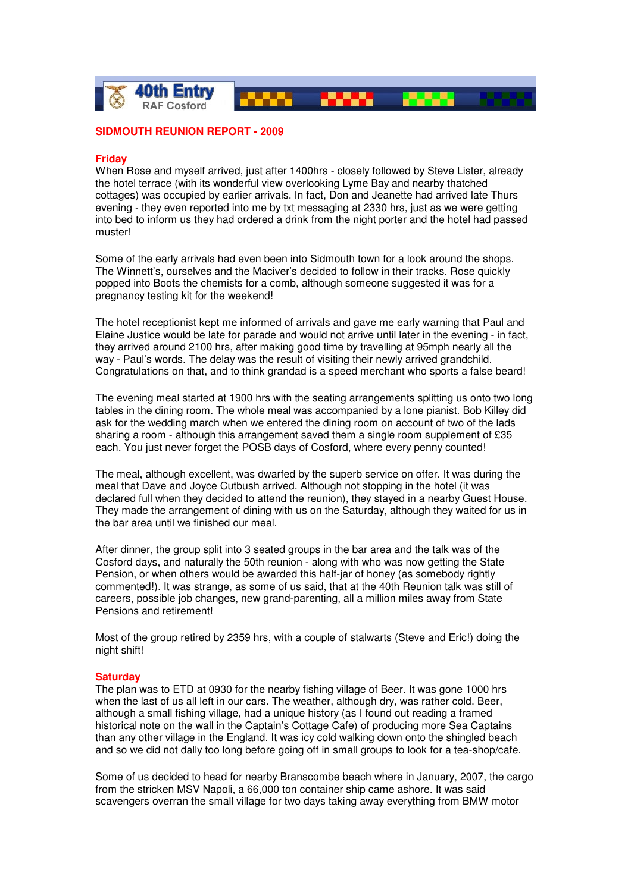

## **SIDMOUTH REUNION REPORT - 2009**

## **Friday**

When Rose and myself arrived, just after 1400hrs - closely followed by Steve Lister, already the hotel terrace (with its wonderful view overlooking Lyme Bay and nearby thatched cottages) was occupied by earlier arrivals. In fact, Don and Jeanette had arrived late Thurs evening - they even reported into me by txt messaging at 2330 hrs, just as we were getting into bed to inform us they had ordered a drink from the night porter and the hotel had passed muster!

Some of the early arrivals had even been into Sidmouth town for a look around the shops. The Winnett's, ourselves and the Maciver's decided to follow in their tracks. Rose quickly popped into Boots the chemists for a comb, although someone suggested it was for a pregnancy testing kit for the weekend!

The hotel receptionist kept me informed of arrivals and gave me early warning that Paul and Elaine Justice would be late for parade and would not arrive until later in the evening - in fact, they arrived around 2100 hrs, after making good time by travelling at 95mph nearly all the way - Paul's words. The delay was the result of visiting their newly arrived grandchild. Congratulations on that, and to think grandad is a speed merchant who sports a false beard!

The evening meal started at 1900 hrs with the seating arrangements splitting us onto two long tables in the dining room. The whole meal was accompanied by a lone pianist. Bob Killey did ask for the wedding march when we entered the dining room on account of two of the lads sharing a room - although this arrangement saved them a single room supplement of £35 each. You just never forget the POSB days of Cosford, where every penny counted!

The meal, although excellent, was dwarfed by the superb service on offer. It was during the meal that Dave and Joyce Cutbush arrived. Although not stopping in the hotel (it was declared full when they decided to attend the reunion), they stayed in a nearby Guest House. They made the arrangement of dining with us on the Saturday, although they waited for us in the bar area until we finished our meal.

After dinner, the group split into 3 seated groups in the bar area and the talk was of the Cosford days, and naturally the 50th reunion - along with who was now getting the State Pension, or when others would be awarded this half-jar of honey (as somebody rightly commented!). It was strange, as some of us said, that at the 40th Reunion talk was still of careers, possible job changes, new grand-parenting, all a million miles away from State Pensions and retirement!

Most of the group retired by 2359 hrs, with a couple of stalwarts (Steve and Eric!) doing the night shift!

## **Saturday**

The plan was to ETD at 0930 for the nearby fishing village of Beer. It was gone 1000 hrs when the last of us all left in our cars. The weather, although dry, was rather cold. Beer, although a small fishing village, had a unique history (as I found out reading a framed historical note on the wall in the Captain's Cottage Cafe) of producing more Sea Captains than any other village in the England. It was icy cold walking down onto the shingled beach and so we did not dally too long before going off in small groups to look for a tea-shop/cafe.

Some of us decided to head for nearby Branscombe beach where in January, 2007, the cargo from the stricken MSV Napoli, a 66,000 ton container ship came ashore. It was said scavengers overran the small village for two days taking away everything from BMW motor